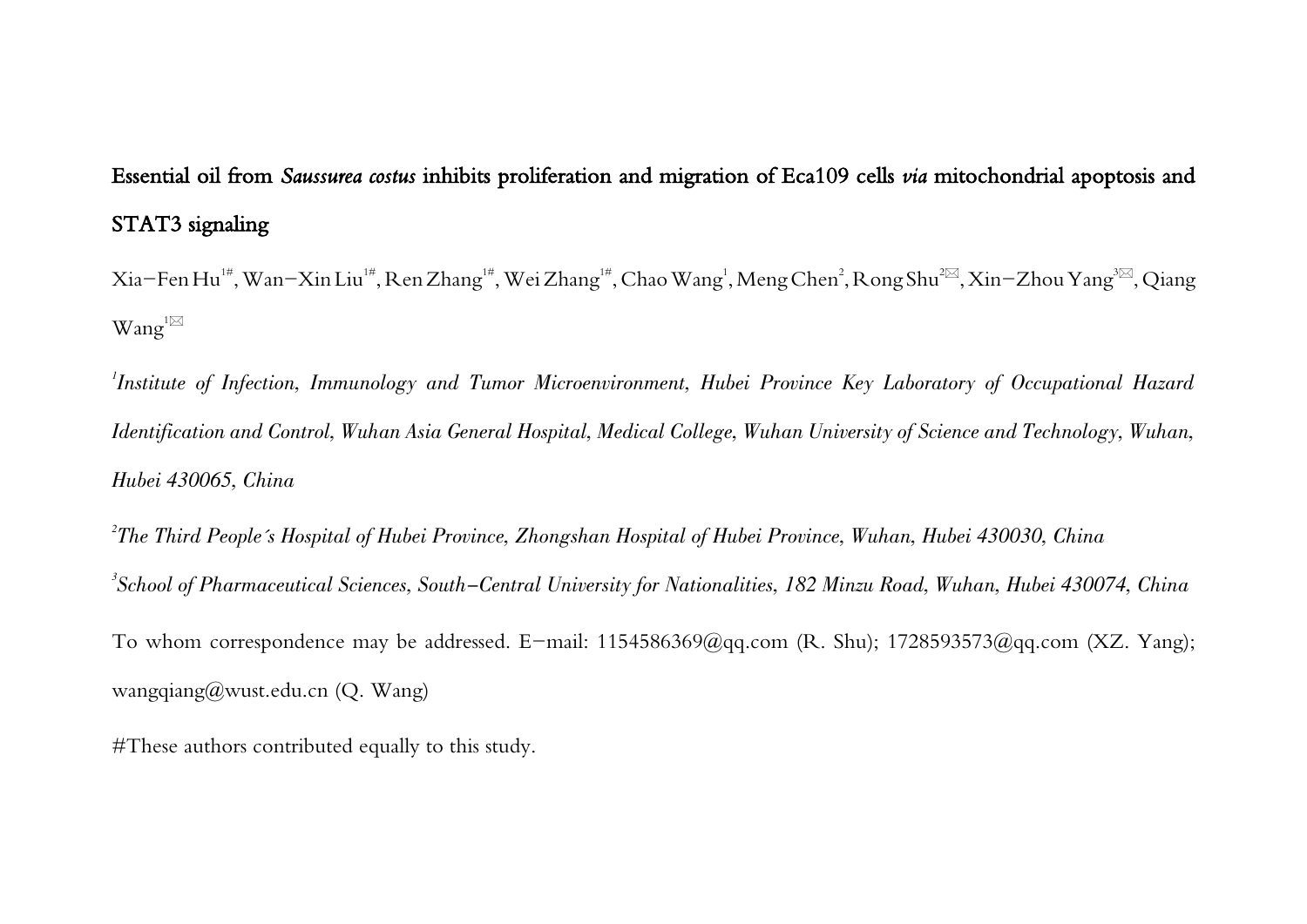## Essential oil from Saussurea costus inhibits proliferation and migration of Eca109 cells via mitochondrial apoptosis and STAT3 signaling

Xia–Fen Hu™, Wan–Xin Liu™, Ren Zhang™, Wei Zhang™, Chao Wang<sup>1</sup>, Meng Chen<sup>2</sup>, Rong Shu<sup>2⊠</sup>, Xin–Zhou Yang<sup>3⊠</sup>, Qiang  $Wang^{1\boxtimes}$ 

 $^{\prime}$ Institute of Infection, Immunology and Tumor Microenvironment, Hubei Province Key Laboratory of Occupational Hazard Identification and Control, Wuhan Asia General Hospital, Medical College, Wuhan University of Science and Technology, Wuhan, Hubei 430065, China

 $^2$ The Third People´s Hospital of Hubei Province, Zhongshan Hospital of Hubei Province, Wuhan, Hubei 430030, China 3 School of Pharmaceutical Sciences, South-Central University for Nationalities, 182 Minzu Road, Wuhan, Hubei 430074, China To whom correspondence may be addressed. E-mail: 1154586369@qq.com (R. Shu); 1728593573@qq.com (XZ. Yang); wangqiang@wust.edu.cn (Q. Wang)

#These authors contributed equally to this study.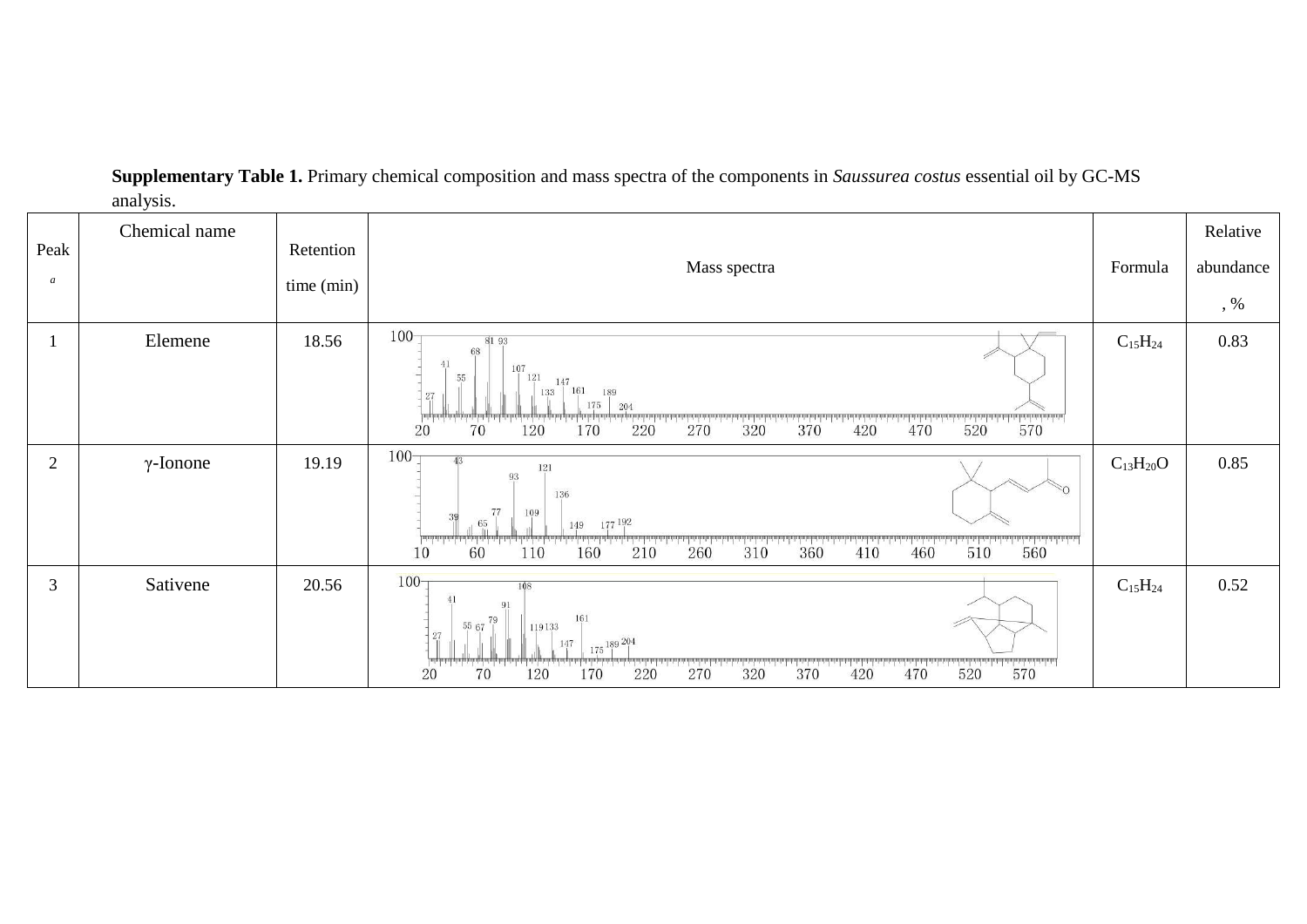| Peak<br>$\boldsymbol{a}$ | Chemical name    | Retention<br>time (min) | Mass spectra                                                                                                                                                                                                                                                                           | Formula         | Relative<br>abundance<br>$, \%$ |
|--------------------------|------------------|-------------------------|----------------------------------------------------------------------------------------------------------------------------------------------------------------------------------------------------------------------------------------------------------------------------------------|-----------------|---------------------------------|
|                          | Elemene          | 18.56                   | $100 -$<br>81 93<br>68<br>41<br>107<br>55<br>121<br>147<br>161<br>133<br>189<br>27<br>175<br>204<br>$520$ $570$<br>470<br>370<br>70<br>320<br>120<br>270<br>20<br>170<br>220<br>420                                                                                                    | $C_{15}H_{24}$  | 0.83                            |
| $\overline{2}$           | $\gamma$ -Ionone | 19.19                   | $100 -$<br>A <sub>2</sub><br>121<br>93<br>136<br>77<br>109<br>177 192<br>65<br>149<br><b>Interlational construction</b><br>560<br>distributional states in the<br><u>in the Little</u><br>$-1 - 1$<br>510<br>260<br>360<br>460<br>60<br>160<br>210<br>310<br>10<br>110<br>410          | $C_{13}H_{20}O$ | 0.85                            |
| 3                        | Sativene         | 20.56                   | $100 -$<br>108<br>41<br>91<br>161<br>$5567$ <sup>79</sup><br>119133<br>27<br>$175$ 189 204<br>147<br>المناصب المتحمل ويتماس والمتعمل والمسامرة والمسارق والمسارق والمسارق والمسارق والمسارق والمسارق<br>570<br>520<br>70<br>370<br>120<br>20<br>170<br>320<br>470<br>220<br>270<br>420 | $C_{15}H_{24}$  | 0.52                            |

**Supplementary Table 1.** Primary chemical composition and mass spectra of the components in *Saussurea costus* essential oil by GC-MS analysis.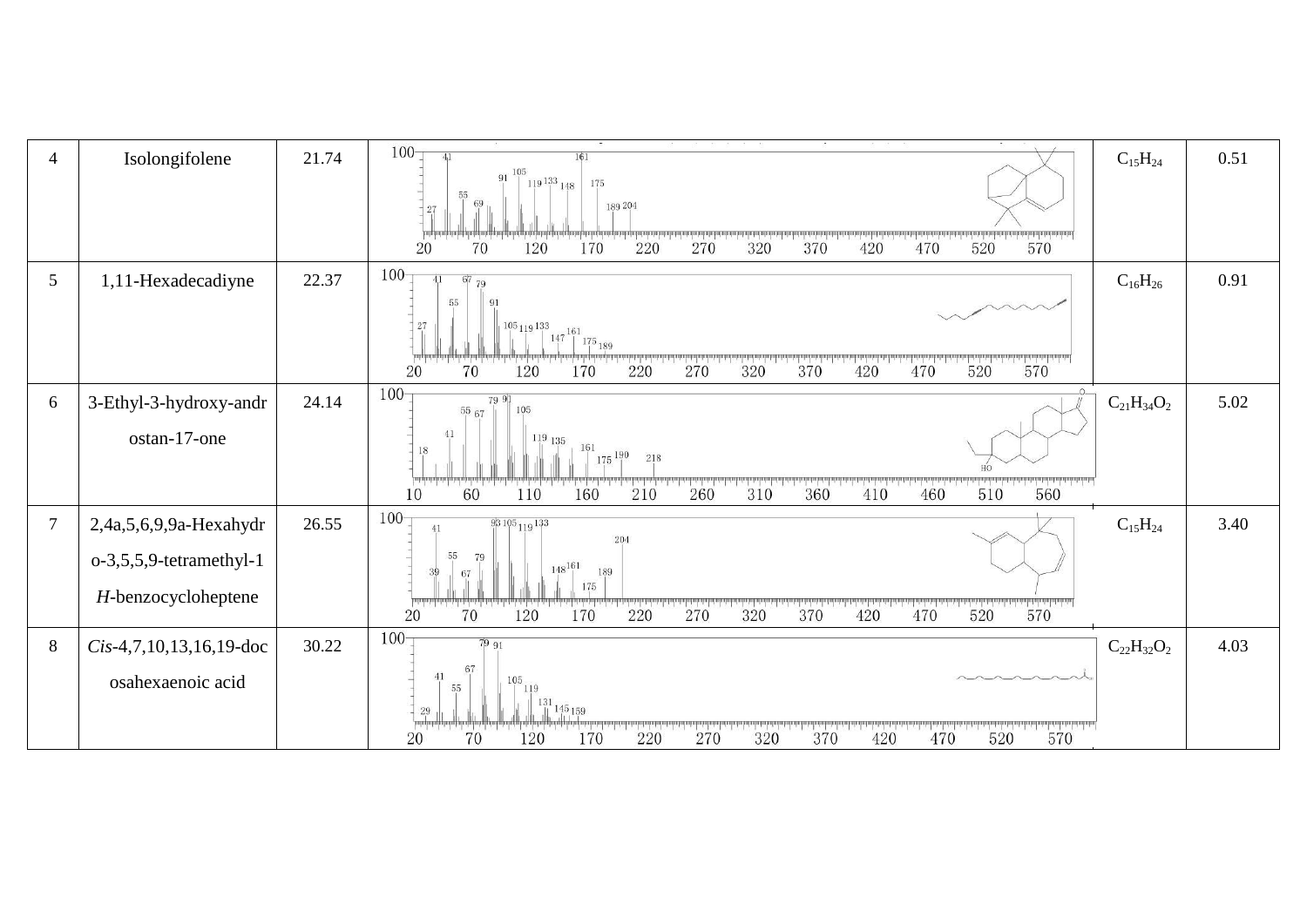| $\overline{4}$ | Isolongifolene                                                              | 21.74 | $100 -$<br>41<br>161<br>$91^{105}$<br>$\frac{3}{119}\frac{133}{148}$<br>175<br>55<br>69<br>189 204<br>27<br>dealer beliefenden bestendende<br>570<br>120<br>220<br>270<br>20<br>70<br>170<br>320<br>370<br>420<br>470<br>520                                                                                 | $C_{15}H_{24}$    | 0.51 |
|----------------|-----------------------------------------------------------------------------|-------|--------------------------------------------------------------------------------------------------------------------------------------------------------------------------------------------------------------------------------------------------------------------------------------------------------------|-------------------|------|
| 5              | 1,11-Hexadecadiyne                                                          | 22.37 | 100 <sub>7</sub><br>6779<br>55<br>91<br>105119133<br>27<br>$147\,\begin{array}{c} 161 \\[-1mm] 175 \\[-1mm] 175 \\[-1mm] 189 \end{array}$<br>$1 - 1 - 1 - 1$<br>70<br>120<br>220<br>270<br>320<br>370<br>470<br>520<br>570<br>20<br>170<br>420                                                               | $C_{16}H_{26}$    | 0.91 |
| 6              | 3-Ethyl-3-hydroxy-andr<br>ostan-17-one                                      | 24.14 | $100 -$<br>79 91<br>$^{55}$ $\rm{67}$<br>105<br>41<br>$119$ 135<br>161<br>18<br>$175^{190}$<br>218<br>$510$ $560$<br>ada haibadan badartan<br>60<br>310<br>460<br>510<br>110<br>160<br>210<br>260<br>360<br>410<br>10                                                                                        | $C_{21}H_{34}O_2$ | 5.02 |
| $\overline{7}$ | 2,4a,5,6,9,9a-Hexahydr<br>$o-3,5,5,9$ -tetramethyl-1<br>H-benzocycloheptene | 26.55 | $100 -$<br>$93105_{119}133$<br>41<br>204<br>55<br>79<br>$148^{161}$<br>189<br>67<br>175<br>$\frac{1}{420}$ $\frac{1}{470}$ $\frac{1}{520}$ $\frac{1}{570}$<br>And the basic description in the later<br><u>International Activities Inc</u> l<br>1.1.1.1.1.1<br>270 320 370<br>70<br>120<br>220<br>20<br>170 | $C_{15}H_{24}$    | 3.40 |
| $\,8\,$        | $Cis-4,7,10,13,16,19$ -doc<br>osahexaenoic acid                             | 30.22 | $100 -$<br>7991<br>67<br>41<br>105<br>55<br>119<br>$\begin{bmatrix} 1 & 3 & 1 & 1 & 4 & 5 & 1 & 5 & 9 \ 1 & 1 & 4 & 5 & 1 & 5 & 9 \ 1 & 1 & 4 & 5 & 1 & 5 & 9 \ \end{bmatrix}$<br>$^{29}$<br>فساسف استعملت<br>570<br>20<br>70<br>120<br>220<br>320<br>370<br>520<br>170<br>270<br>470<br>420                 | $C_{22}H_{32}O_2$ | 4.03 |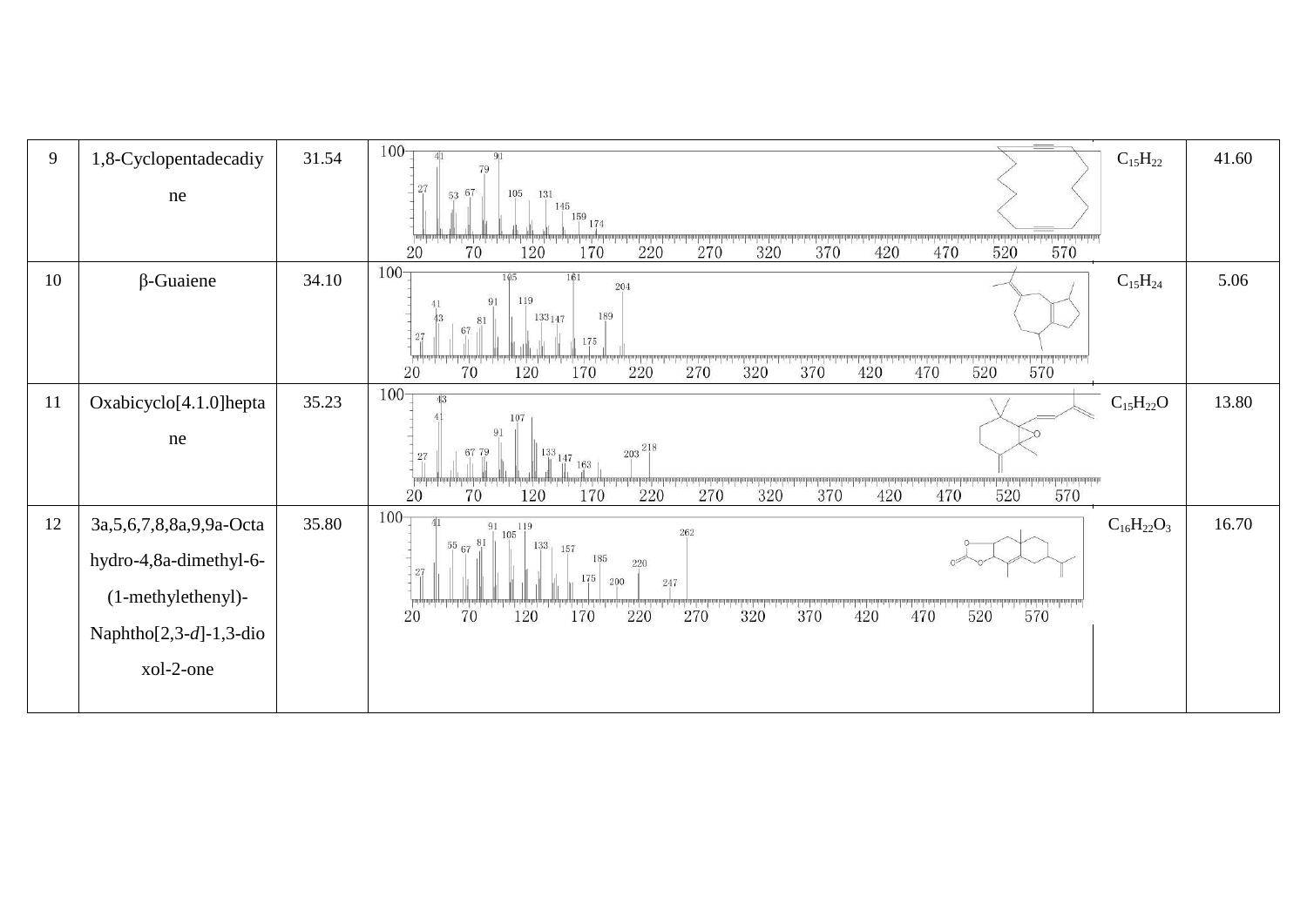| 9  | 1,8-Cyclopentadecadiy                                                                                                       | 31.54 | $-$<br>100 <sub>1</sub><br>91<br>$C_{15}H_{22}$<br>79                                                                                                                                                                                                                                          | 41.60 |
|----|-----------------------------------------------------------------------------------------------------------------------------|-------|------------------------------------------------------------------------------------------------------------------------------------------------------------------------------------------------------------------------------------------------------------------------------------------------|-------|
|    | ne                                                                                                                          |       | 27<br>53 67<br>105<br>131<br>145<br>$\frac{159}{1}$ 174<br>the control in the first state in the first state.<br>570<br>220<br>270<br>320<br>420<br>520<br>70<br>120<br>170<br>370<br>470<br>20                                                                                                |       |
| 10 | $\beta$ -Guaiene                                                                                                            | 34.10 | $100 -$<br>105<br>161<br>$C_{15}H_{24}$<br>204<br>119<br>91<br>189<br>133147<br>81<br>67<br>27<br>175<br>570<br>370<br>470<br>520<br>20<br>70<br>120<br>170<br>220<br>270<br>320<br>420                                                                                                        | 5.06  |
| 11 | Oxabicyclo[4.1.0]hepta<br>ne                                                                                                | 35.23 | $100 -$<br>$C_{15}H_{22}O$<br>107<br>91<br>$203\;\substack{218 \\ -1}$<br>67 79<br>133<br>27<br>$\frac{147}{1}$ 163<br>570<br>1.1.1.1.1.1.1<br>270<br>520<br>20<br>170<br>220<br>320<br>370<br>420<br>470<br>70<br>120                                                                         | 13.80 |
| 12 | 3a, 5, 6, 7, 8, 8a, 9, 9a - Octa<br>hydro-4,8a-dimethyl-6-<br>(1-methylethenyl)-<br>Naphtho $[2,3-d]-1,3$ -dio<br>xol-2-one | 35.80 | 100 <sub>1</sub><br>$C_{16}H_{22}O_3$<br>$\overline{105}^{119}$<br>91<br>262<br>556781<br>133<br>157<br>185<br>220<br>27<br>175<br>200<br>$247\,$<br>570<br>70<br>$\begin{array}{c}\n 220\n \end{array}$<br>$-1 - 1 - 1 - 1 - 1$<br>370<br>270<br>520<br>120<br>170<br>320<br>470<br>20<br>420 | 16.70 |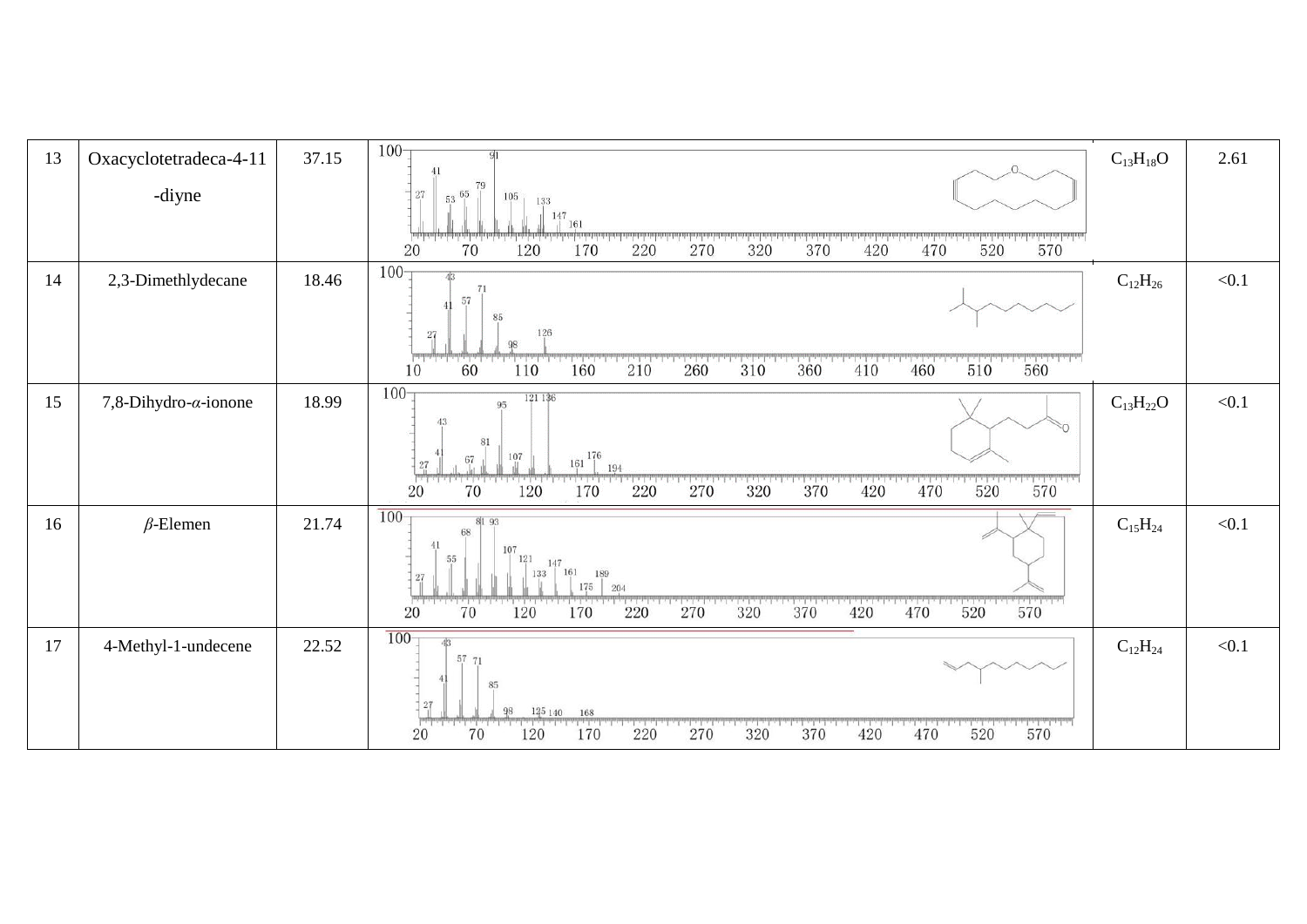| 13 | Oxacyclotetradeca-4-11        | 37.15 | $100 -$                                                                                                                                          | $C_{13}H_{18}O$ | 2.61  |
|----|-------------------------------|-------|--------------------------------------------------------------------------------------------------------------------------------------------------|-----------------|-------|
|    | -diyne                        |       | 79<br>$27\,$<br>$53\frac{65}{1}$<br>105<br>133                                                                                                   |                 |       |
|    |                               |       | $\frac{147}{1}$ 161<br>dealer in the first case of<br>70<br>370<br>420<br>570<br>120<br>270<br>320<br>470<br>220<br>520<br>20<br>170             |                 |       |
| 14 | 2,3-Dimethlydecane            | 18.46 | $100 -$<br>43<br>71                                                                                                                              | $C_{12}H_{26}$  | < 0.1 |
|    |                               |       | 57<br>85<br>$126\,$<br>27                                                                                                                        |                 |       |
|    |                               |       | بالمطيخ المحاجم المطاعم المطاعة<br>$510$ 560<br>1111111111111<br>The Control<br>60<br>110<br>160<br>210<br>360<br>460<br>260<br>310<br>410<br>10 |                 |       |
| 15 | 7,8-Dihydro- $\alpha$ -ionone | 18.99 | $100 -$<br>121 136<br>95<br>43                                                                                                                   | $C_{13}H_{22}O$ | < 0.1 |
|    |                               |       | 81<br>176<br>107<br>67<br>161<br>27<br>194                                                                                                       |                 |       |
|    |                               |       | سارتسا.<br>$520$ $570$<br>270<br>320 370 420 470<br>520<br>220<br>20<br>120<br>70<br>170                                                         |                 |       |
| 16 | $\beta$ -Elemen               | 21.74 | $100 -$<br>81 93<br>68                                                                                                                           | $C_{15}H_{24}$  | < 0.1 |
|    |                               |       | 41<br>107<br>55<br>121<br>147<br>161 189<br>133<br>27                                                                                            |                 |       |
|    |                               |       | 175<br>204<br>$520$ $570$<br>$70^{\degree}$<br>$\frac{1}{320}$<br>220<br>370<br>20<br>120<br>170<br>270<br>420<br>470                            |                 |       |
| 17 | 4-Methyl-1-undecene           | 22.52 | $100 -$<br>57 71                                                                                                                                 | $C_{12}H_{24}$  | < 0.1 |
|    |                               |       | 85<br>27                                                                                                                                         |                 |       |
|    |                               |       | 98<br>125 140<br>168<br>$220$ $270$ $320$ $370$ $420$ $470$ $520$ $570$<br>70<br>420<br>20<br>170<br>320<br>120                                  |                 |       |
|    |                               |       |                                                                                                                                                  |                 |       |